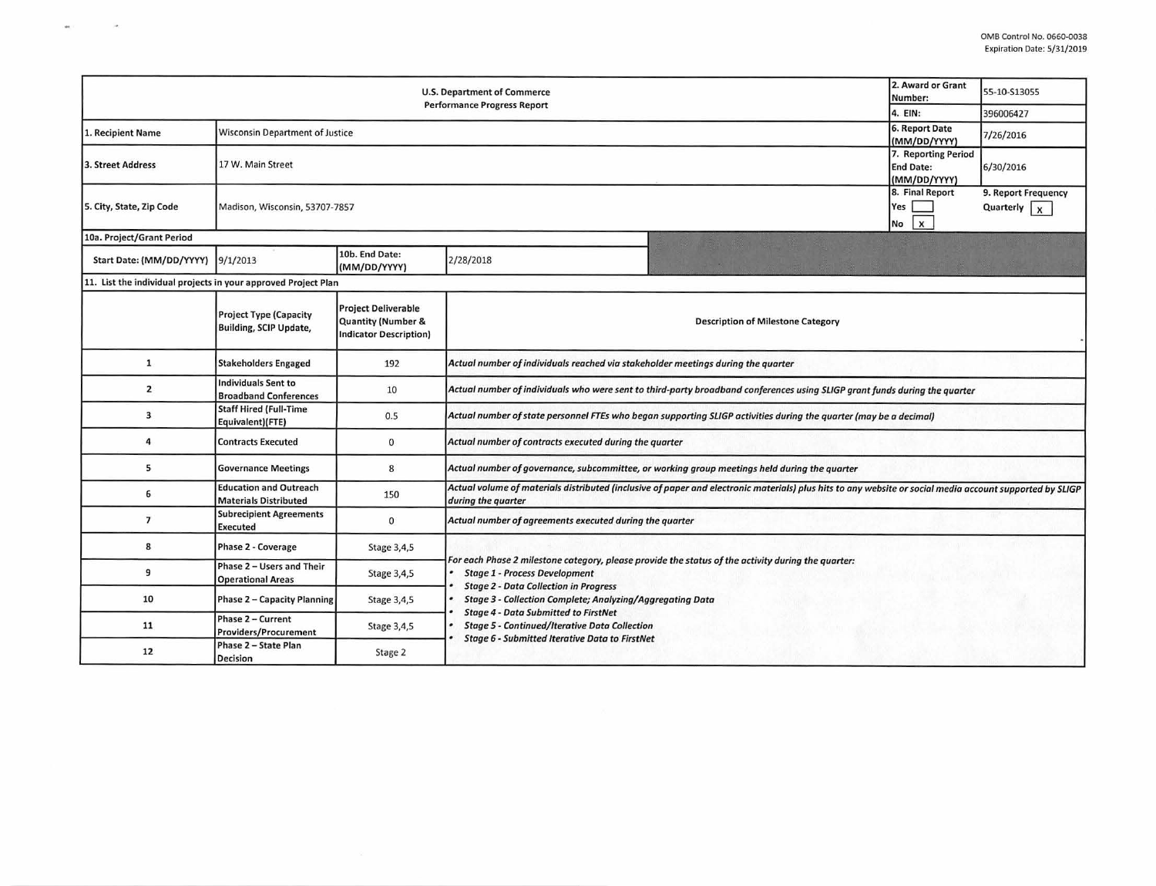| 2. Award or Grant<br><b>U.S. Department of Commerce</b><br>Number:<br><b>Performance Progress Report</b> |                                                                |                                                                                   |                                                                                                                                                                                                                                                                                                                                                                                                                                |                                          |                                              | 55-10-S13055                         |  |
|----------------------------------------------------------------------------------------------------------|----------------------------------------------------------------|-----------------------------------------------------------------------------------|--------------------------------------------------------------------------------------------------------------------------------------------------------------------------------------------------------------------------------------------------------------------------------------------------------------------------------------------------------------------------------------------------------------------------------|------------------------------------------|----------------------------------------------|--------------------------------------|--|
|                                                                                                          |                                                                |                                                                                   |                                                                                                                                                                                                                                                                                                                                                                                                                                |                                          | 4. EIN:                                      | 396006427                            |  |
| 1. Recipient Name                                                                                        | <b>Wisconsin Department of Justice</b>                         |                                                                                   |                                                                                                                                                                                                                                                                                                                                                                                                                                |                                          | <b>6. Report Date</b><br>(MM/DD/YYYY)        | 7/26/2016                            |  |
| 3. Street Address                                                                                        | 17 W. Main Street                                              |                                                                                   |                                                                                                                                                                                                                                                                                                                                                                                                                                |                                          |                                              |                                      |  |
| 5. City, State, Zip Code                                                                                 | Madison, Wisconsin, 53707-7857                                 |                                                                                   |                                                                                                                                                                                                                                                                                                                                                                                                                                |                                          | 8. Final Report<br>Yes<br>$\mathbf{x}$<br>No | 9. Report Frequency<br>Quarterly $x$ |  |
| 10a. Project/Grant Period                                                                                |                                                                |                                                                                   |                                                                                                                                                                                                                                                                                                                                                                                                                                |                                          |                                              |                                      |  |
| Start Date: (MM/DD/YYYY) 9/1/2013                                                                        |                                                                | 10b. End Date:<br>(MM/DD/YYYY)                                                    | 2/28/2018                                                                                                                                                                                                                                                                                                                                                                                                                      |                                          |                                              |                                      |  |
| 11. List the individual projects in your approved Project Plan                                           |                                                                |                                                                                   |                                                                                                                                                                                                                                                                                                                                                                                                                                |                                          |                                              |                                      |  |
|                                                                                                          | <b>Project Type (Capacity</b><br><b>Building, SCIP Update,</b> | <b>Project Deliverable</b><br>Quantity (Number &<br><b>Indicator Description)</b> |                                                                                                                                                                                                                                                                                                                                                                                                                                | <b>Description of Milestone Category</b> |                                              |                                      |  |
| $\mathbf{1}$                                                                                             | <b>Stakeholders Engaged</b>                                    | 192                                                                               | Actual number of individuals reached via stakeholder meetings during the quarter                                                                                                                                                                                                                                                                                                                                               |                                          |                                              |                                      |  |
| $\mathbf{z}$                                                                                             | <b>Individuals Sent to</b><br><b>Broadband Conferences</b>     | 10                                                                                | Actual number of individuals who were sent to third-party broadband conferences using SLIGP grant funds during the quarter                                                                                                                                                                                                                                                                                                     |                                          |                                              |                                      |  |
| 3                                                                                                        | <b>Staff Hired (Full-Time</b><br>Equivalent)(FTE)              | 0.5                                                                               | Actual number of state personnel FTEs who began supporting SLIGP activities during the quarter (may be a decimal)                                                                                                                                                                                                                                                                                                              |                                          |                                              |                                      |  |
| 4                                                                                                        | <b>Contracts Executed</b>                                      | 0                                                                                 | Actual number of contracts executed during the quarter                                                                                                                                                                                                                                                                                                                                                                         |                                          |                                              |                                      |  |
| 5                                                                                                        | <b>Governance Meetings</b>                                     | 8                                                                                 | Actual number of governance, subcommittee, or working group meetings held during the quarter                                                                                                                                                                                                                                                                                                                                   |                                          |                                              |                                      |  |
| 6                                                                                                        | <b>Education and Outreach</b><br><b>Materials Distributed</b>  | 150                                                                               | Actual volume of materials distributed (inclusive of paper and electronic materials) plus hits to any website or social media account supported by SLIGP<br>during the quarter                                                                                                                                                                                                                                                 |                                          |                                              |                                      |  |
| $\overline{7}$                                                                                           | <b>Subrecipient Agreements</b><br><b>Executed</b>              | $\mathbf{0}$                                                                      | Actual number of agreements executed during the quarter                                                                                                                                                                                                                                                                                                                                                                        |                                          |                                              |                                      |  |
| 8                                                                                                        | <b>Phase 2 - Coverage</b>                                      | Stage 3,4,5                                                                       |                                                                                                                                                                                                                                                                                                                                                                                                                                |                                          |                                              |                                      |  |
| 9                                                                                                        | Phase 2 - Users and Their<br><b>Operational Areas</b>          | Stage 3,4,5                                                                       | For each Phase 2 milestone category, please provide the status of the activity during the quarter:<br><b>Stage 1 - Process Development</b><br><b>Stage 2 - Data Collection in Progress</b><br><b>Stage 3 - Collection Complete; Analyzing/Aggregating Data</b><br><b>Stage 4 - Data Submitted to FirstNet</b><br><b>Stage 5 - Continued/Iterative Data Collection</b><br><b>Stage 6 - Submitted Iterative Data to FirstNet</b> |                                          |                                              |                                      |  |
| 10                                                                                                       | <b>Phase 2 - Capacity Planning</b>                             | Stage 3,4,5                                                                       |                                                                                                                                                                                                                                                                                                                                                                                                                                |                                          |                                              |                                      |  |
| 11                                                                                                       | Phase 2 - Current<br><b>Providers/Procurement</b>              | Stage 3,4,5                                                                       |                                                                                                                                                                                                                                                                                                                                                                                                                                |                                          |                                              |                                      |  |
| 12                                                                                                       | Phase 2 - State Plan<br>Decision                               | Stage 2                                                                           |                                                                                                                                                                                                                                                                                                                                                                                                                                |                                          |                                              |                                      |  |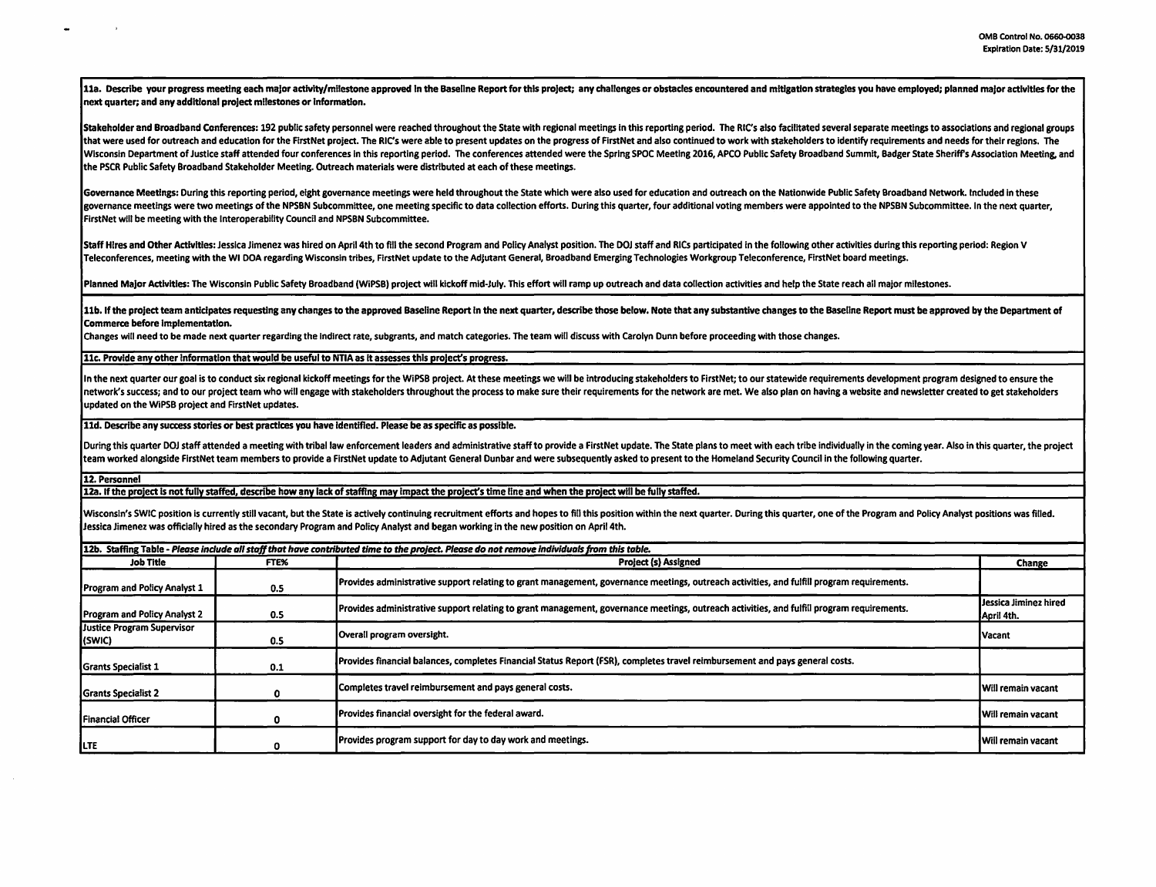11a. Describe your progress meeting each major activity/milestone approved in the Baseline Report for this project; any challenges or obstacles encountered and mitigation strategies you have employed; planned major activit next quarter; and any additional project milestones or Information.

Stakeholder and Broadband Conferences: 192 public safety personnel were reached throughout the State with regional meetings in this reporting period. The RIC's also facilitated several separate meetings to associations and that were used for outreach and education for the FirstNet project. The RIC's were able to present updates on the progress of FirstNet and also continued to work with stakeholders to identify requirements and needs for the Wisconsin Department of Justice staff attended four conferences in this reporting period. The conferences attended were the Spring SPOC Meeting 2016, APCO Public Safety Broadband Summit, Badger State Sheriff's Association the PSCR Public Safety Broadband Stakeholder Meeting. Outreach materials were distributed at each of these meetings.

Governance Meetings: During this reporting period, eight governance meetings were held throughout the State which were also used for education and outreach on the Nationwide Public Safety Broadband Network. Included in the governance meetings were two meetings of the NPSBN Subcommittee, one meeting specific to data collection efforts. During this quarter, four additional voting members were appointed to the NPSBN Subcommittee. In the next qu FirstNet will be meeting with the Interoperability Council and NPSBN Subcommittee.

Staff Hires and Other Activities: Jessica Jimenez was hired on April 4th to fill the second Program and Policy Analyst position. The DOJ staff and RICs participated in the following other activities during this reporting p Teleconferences, meeting with the WI DOA regarding Wisconsin tribes, FirstNet update to the Adjutant General, Broadband EmergingTechnologles Workgroup Teleconference, FirstNet board meetings.

Planned Major Activities: The Wisconsin Public Safety Broadband (WiPSB) project will kickoff mid-July. This effort will ramp up outreach and data collection activities and help the State reach all major milestones.

11b. If the project team anticipates requesting any changes to the approved Baseline Report in the next quarter, describe those below. Note that any substantive changes to the Baseline Report must be approved by the Depart Commerce before Implementation.

Changes will need to be made next quarter regarding the indirect rate, subgrants, and match categories. The team will discuss with Carolyn Dunn before proceeding with those changes.

11c. Provide any other Information that would be useful to NTIA as It assesses this proJect's progress.

In the next quarter our goal is to conduct six regional kickoff meetings for the WiPSB project. At these meetings we will be introducing stakeholders to FirstNet: to our statewide requirements development program designed network's success; and to our project team who will engage with stakeholders throughout the process to make sure their requirements for the network are met. We also plan on having a website and newsletter created to get st updated on the WiPSB project and FirstNet updates.

11d. Describe any success stories or best practices you have Identified. Please be as specific as possible.

During this quarter DOJ staff attended a meeting with tribal law enforcement leaders and administrative staff to provide a FirstNet update. The State plans to meet with each tribe individually in the coming year. Also in t team worked alongside FirstNet team members to provide a FirstNet update to Adjutant General Dunbar and were subsequently asked to present to the Homeland Security Council in the following quarter.

12. Personnel

12a. If the project ls not fully staffed, describe how any lack of staffing may Impact the project's time line and when the project will be fully staffed.

Wisconsin's SWIC position is currently still vacant, but the State is actively continuing recruitment efforts and hopes to fill this position within the next quarter. During this quarter, one of the Program and Policy Anal Jessica Jimenez was officially hired as the secondary Program and Policy Analyst and began working in the new position on April 4th.

| 12b. Staffing Table - Please include all staff that have contributed time to the project. Please do not remove individuals from this table. |      |                                                                                                                                           |                                      |  |  |  |
|---------------------------------------------------------------------------------------------------------------------------------------------|------|-------------------------------------------------------------------------------------------------------------------------------------------|--------------------------------------|--|--|--|
| <b>Job Title</b>                                                                                                                            | FTE% | <b>Project (s) Assigned</b>                                                                                                               | Change                               |  |  |  |
| <b>Program and Policy Analyst 1</b>                                                                                                         | 0.5  | Provides administrative support relating to grant management, governance meetings, outreach activities, and fulfill program requirements. |                                      |  |  |  |
| <b>Program and Policy Analyst 2</b>                                                                                                         | 0.5  | Provides administrative support relating to grant management, governance meetings, outreach activities, and fulfill program requirements. | Llessica Jiminez hired<br>April 4th. |  |  |  |
| Justice Program Supervisor<br>(SWIC)                                                                                                        | 0.5  | Overall program oversight.                                                                                                                | <b>Vacant</b>                        |  |  |  |
| <b>Grants Specialist 1</b>                                                                                                                  | 0.1  | Provides financial balances, completes Financial Status Report (FSR), completes travel reimbursement and pays general costs.              |                                      |  |  |  |
| Grants Specialist 2                                                                                                                         |      | Completes travel reimbursement and pays general costs.                                                                                    | <b>Will remain vacant</b>            |  |  |  |
| Financial Officer                                                                                                                           |      | Provides financial oversight for the federal award.                                                                                       | Will remain vacant                   |  |  |  |
| ILTE                                                                                                                                        |      | Provides program support for day to day work and meetings.                                                                                | <b>Will remain vacant</b>            |  |  |  |